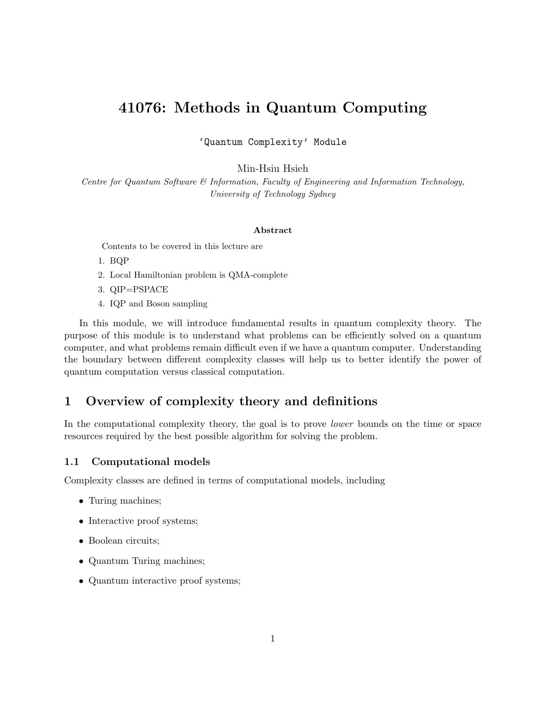# 41076: Methods in Quantum Computing

'Quantum Complexity' Module

Min-Hsiu Hsieh

Centre for Quantum Software & Information, Faculty of Engineering and Information Technology, University of Technology Sydney

#### Abstract

Contents to be covered in this lecture are

- 1. BQP
- 2. Local Hamiltonian problem is QMA-complete
- 3. QIP=PSPACE
- 4. IQP and Boson sampling

In this module, we will introduce fundamental results in quantum complexity theory. The purpose of this module is to understand what problems can be efficiently solved on a quantum computer, and what problems remain difficult even if we have a quantum computer. Understanding the boundary between different complexity classes will help us to better identify the power of quantum computation versus classical computation.

# 1 Overview of complexity theory and definitions

In the computational complexity theory, the goal is to prove lower bounds on the time or space resources required by the best possible algorithm for solving the problem.

# 1.1 Computational models

Complexity classes are defined in terms of computational models, including

- Turing machines;
- Interactive proof systems;
- Boolean circuits;
- Quantum Turing machines;
- Quantum interactive proof systems;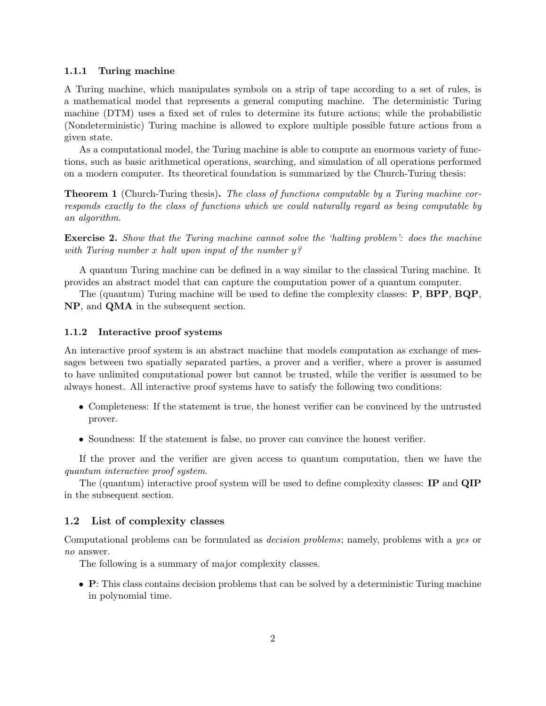#### 1.1.1 Turing machine

A Turing machine, which manipulates symbols on a strip of tape according to a set of rules, is a mathematical model that represents a general computing machine. The deterministic Turing machine (DTM) uses a fixed set of rules to determine its future actions; while the probabilistic (Nondeterministic) Turing machine is allowed to explore multiple possible future actions from a given state.

As a computational model, the Turing machine is able to compute an enormous variety of functions, such as basic arithmetical operations, searching, and simulation of all operations performed on a modern computer. Its theoretical foundation is summarized by the Church-Turing thesis:

**Theorem 1** (Church-Turing thesis). The class of functions computable by a Turing machine corresponds exactly to the class of functions which we could naturally regard as being computable by an algorithm.

**Exercise 2.** Show that the Turing machine cannot solve the 'halting problem': does the machine with Turing number x halt upon input of the number  $y$ ?

A quantum Turing machine can be defined in a way similar to the classical Turing machine. It provides an abstract model that can capture the computation power of a quantum computer.

The (quantum) Turing machine will be used to define the complexity classes: P, BPP, BQP, NP, and QMA in the subsequent section.

#### 1.1.2 Interactive proof systems

An interactive proof system is an abstract machine that models computation as exchange of messages between two spatially separated parties, a prover and a verifier, where a prover is assumed to have unlimited computational power but cannot be trusted, while the verifier is assumed to be always honest. All interactive proof systems have to satisfy the following two conditions:

- Completeness: If the statement is true, the honest verifier can be convinced by the untrusted prover.
- Soundness: If the statement is false, no prover can convince the honest verifier.

If the prover and the verifier are given access to quantum computation, then we have the quantum interactive proof system.

The (quantum) interactive proof system will be used to define complexity classes: IP and QIP in the subsequent section.

### 1.2 List of complexity classes

Computational problems can be formulated as decision problems; namely, problems with a yes or no answer.

The following is a summary of major complexity classes.

• P: This class contains decision problems that can be solved by a deterministic Turing machine in polynomial time.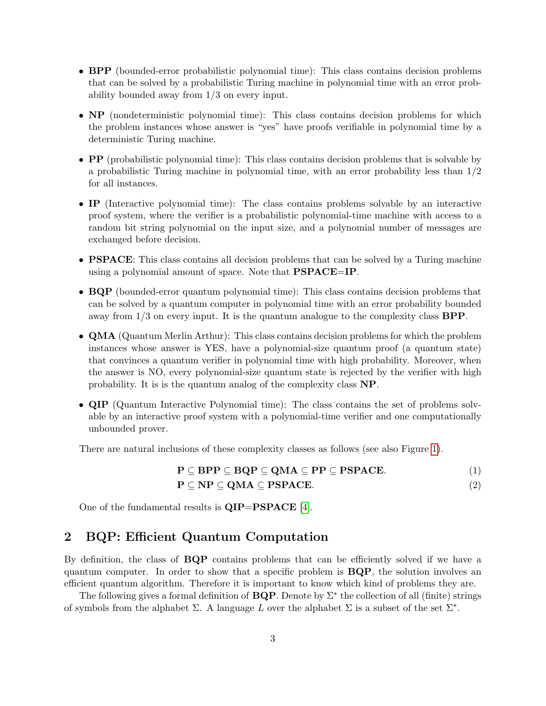- BPP (bounded-error probabilistic polynomial time): This class contains decision problems that can be solved by a probabilistic Turing machine in polynomial time with an error probability bounded away from 1/3 on every input.
- NP (nondeterministic polynomial time): This class contains decision problems for which the problem instances whose answer is "yes" have proofs verifiable in polynomial time by a deterministic Turing machine.
- **PP** (probabilistic polynomial time): This class contains decision problems that is solvable by a probabilistic Turing machine in polynomial time, with an error probability less than 1/2 for all instances.
- IP (Interactive polynomial time): The class contains problems solvable by an interactive proof system, where the verifier is a probabilistic polynomial-time machine with access to a random bit string polynomial on the input size, and a polynomial number of messages are exchanged before decision.
- **PSPACE**: This class contains all decision problems that can be solved by a Turing machine using a polynomial amount of space. Note that PSPACE=IP.
- BQP (bounded-error quantum polynomial time): This class contains decision problems that can be solved by a quantum computer in polynomial time with an error probability bounded away from  $1/3$  on every input. It is the quantum analogue to the complexity class  $\mathbf{BPP}$ .
- QMA (Quantum Merlin Arthur): This class contains decision problems for which the problem instances whose answer is YES, have a polynomial-size quantum proof (a quantum state) that convinces a quantum verifier in polynomial time with high probability. Moreover, when the answer is NO, every polynomial-size quantum state is rejected by the verifier with high probability. It is is the quantum analog of the complexity class NP.
- QIP (Quantum Interactive Polynomial time): The class contains the set of problems solvable by an interactive proof system with a polynomial-time verifier and one computationally unbounded prover.

There are natural inclusions of these complexity classes as follows (see also Figure [1\)](#page-3-0).

$$
P \subseteq BPP \subseteq BQP \subseteq QMA \subseteq PP \subseteq PSPACE.
$$
\n
$$
P \subseteq NP \subseteq QMA \subseteq PSPACE
$$
\n(1)

$$
\mathbf{P} \subseteq \mathbf{NP} \subseteq \mathbf{QMA} \subseteq \mathbf{PSPACE}.\tag{2}
$$

One of the fundamental results is  $\text{QIP}=\text{PSPACE}$  [\[4\]](#page-8-0).

# 2 BQP: Efficient Quantum Computation

By definition, the class of **BQP** contains problems that can be efficiently solved if we have a quantum computer. In order to show that a specific problem is BQP, the solution involves an efficient quantum algorithm. Therefore it is important to know which kind of problems they are.

The following gives a formal definition of  $BQP$ . Denote by  $\Sigma^*$  the collection of all (finite) strings of symbols from the alphabet  $\Sigma$ . A language L over the alphabet  $\Sigma$  is a subset of the set  $\Sigma^*$ .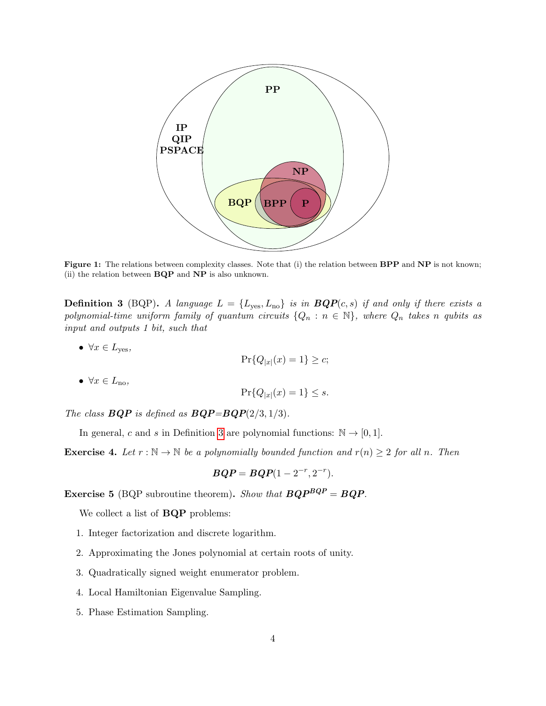<span id="page-3-0"></span>

Figure 1: The relations between complexity classes. Note that (i) the relation between BPP and NP is not known; (ii) the relation between BQP and NP is also unknown.

<span id="page-3-1"></span>**Definition 3** (BQP). A language  $L = \{L_{\text{yes}}, L_{\text{no}}\}$  is in  $BQP(c, s)$  if and only if there exists a polynomial-time uniform family of quantum circuits  $\{Q_n : n \in \mathbb{N}\}\$ , where  $Q_n$  takes n qubits as input and outputs 1 bit, such that

•  $\forall x \in L_{\text{yes}},$ 

$$
\Pr\{Q_{|x|}(x) = 1\} \ge c;
$$

•  $\forall x \in L_{\text{no}}$ 

$$
\Pr\{Q_{|x|}(x) = 1\} \le s.
$$

The class  $BQP$  is defined as  $BQP=BQP(2/3, 1/3)$ .

In general, c and s in Definition [3](#page-3-1) are polynomial functions:  $\mathbb{N} \to [0,1]$ .

**Exercise 4.** Let  $r : \mathbb{N} \to \mathbb{N}$  be a polynomially bounded function and  $r(n) \geq 2$  for all n. Then

$$
BQP = BQP(1-2^{-r},2^{-r}).
$$

**Exercise 5** (BQP subroutine theorem). Show that  $BQP^{BQP} = BQP$ .

We collect a list of BQP problems:

- 1. Integer factorization and discrete logarithm.
- 2. Approximating the Jones polynomial at certain roots of unity.
- 3. Quadratically signed weight enumerator problem.
- 4. Local Hamiltonian Eigenvalue Sampling.
- 5. Phase Estimation Sampling.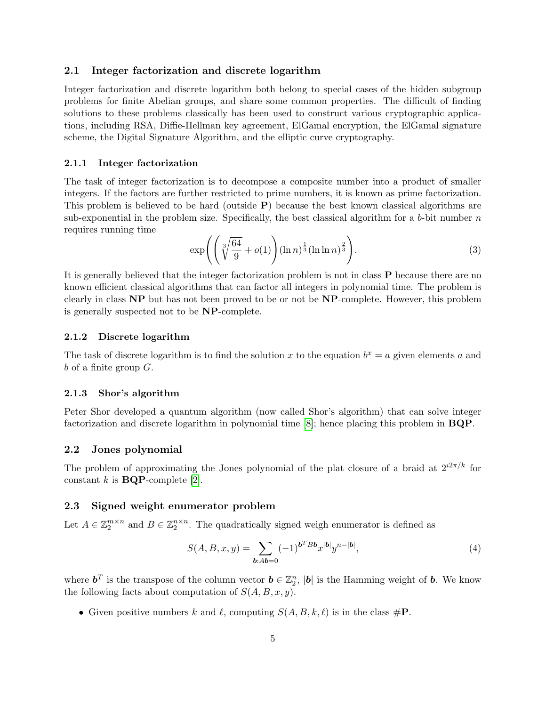### 2.1 Integer factorization and discrete logarithm

Integer factorization and discrete logarithm both belong to special cases of the hidden subgroup problems for finite Abelian groups, and share some common properties. The difficult of finding solutions to these problems classically has been used to construct various cryptographic applications, including RSA, Diffie-Hellman key agreement, ElGamal encryption, the ElGamal signature scheme, the Digital Signature Algorithm, and the elliptic curve cryptography.

#### 2.1.1 Integer factorization

The task of integer factorization is to decompose a composite number into a product of smaller integers. If the factors are further restricted to prime numbers, it is known as prime factorization. This problem is believed to be hard (outside  $P$ ) because the best known classical algorithms are sub-exponential in the problem size. Specifically, the best classical algorithm for a  $b$ -bit number  $n$ requires running time

$$
\exp\left(\left(\sqrt[3]{\frac{64}{9}} + o(1)\right)(\ln n)^{\frac{1}{3}}(\ln \ln n)^{\frac{2}{3}}\right).
$$
 (3)

It is generally believed that the integer factorization problem is not in class P because there are no known efficient classical algorithms that can factor all integers in polynomial time. The problem is clearly in class NP but has not been proved to be or not be NP-complete. However, this problem is generally suspected not to be NP-complete.

### 2.1.2 Discrete logarithm

The task of discrete logarithm is to find the solution x to the equation  $b^x = a$  given elements a and  $b$  of a finite group  $G$ .

#### 2.1.3 Shor's algorithm

Peter Shor developed a quantum algorithm (now called Shor's algorithm) that can solve integer factorization and discrete logarithm in polynomial time [\[8\]](#page-9-0); hence placing this problem in BQP.

#### 2.2 Jones polynomial

The problem of approximating the Jones polynomial of the plat closure of a braid at  $2^{i2\pi/k}$  for constant k is  $BQP$ -complete [\[2\]](#page-8-1).

#### 2.3 Signed weight enumerator problem

Let  $A \in \mathbb{Z}_2^{m \times n}$  and  $B \in \mathbb{Z}_2^{n \times n}$ . The quadratically signed weigh enumerator is defined as

$$
S(A, B, x, y) = \sum_{b: Ab = 0} (-1)^{b^T B b} x^{|b|} y^{n - |b|},
$$
\n(4)

where  $\boldsymbol{b}^T$  is the transpose of the column vector  $\boldsymbol{b} \in \mathbb{Z}_2^n$ ,  $|\boldsymbol{b}|$  is the Hamming weight of  $\boldsymbol{b}$ . We know the following facts about computation of  $S(A, B, x, y)$ .

• Given positive numbers k and  $\ell$ , computing  $S(A, B, k, \ell)$  is in the class  $\#\mathbf{P}$ .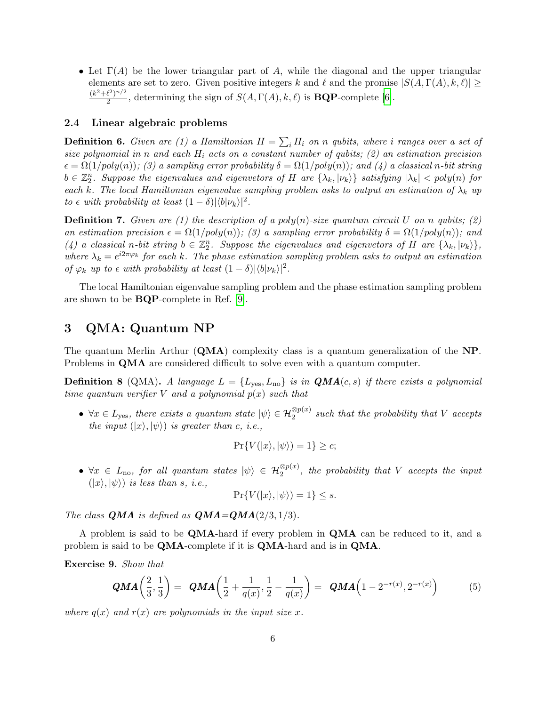• Let  $\Gamma(A)$  be the lower triangular part of A, while the diagonal and the upper triangular elements are set to zero. Given positive integers k and  $\ell$  and the promise  $|S(A, \Gamma(A), k, \ell)| \ge$  $(k^2+\ell^2)^{n/2}$  $\frac{2^{(2-p)/2}}{2}$ , determining the sign of  $S(A, \Gamma(A), k, \ell)$  is **BQP**-complete [\[6\]](#page-9-1).

### 2.4 Linear algebraic problems

**Definition 6.** Given are (1) a Hamiltonian  $H = \sum_i H_i$  on n qubits, where i ranges over a set of size polynomial in n and each  $H_i$  acts on a constant number of qubits; (2) an estimation precision  $\epsilon = \Omega(1/poly(n));$  (3) a sampling error probability  $\delta = \Omega(1/poly(n));$  and (4) a classical n-bit string  $b\in\mathbb{Z}_2^n$ . Suppose the eigenvalues and eigenvetors of H are  $\{\lambda_k,|\nu_k\rangle\}$  satisfying  $|\lambda_k|$  < poly(n) for each k. The local Hamiltonian eigenvalue sampling problem asks to output an estimation of  $\lambda_k$  up to  $\epsilon$  with probability at least  $(1 - \delta)|\langle b|\nu_k\rangle|^2$ .

**Definition 7.** Given are (1) the description of a poly(n)-size quantum circuit U on n qubits; (2) an estimation precision  $\epsilon = \Omega(1/poly(n));$  (3) a sampling error probability  $\delta = \Omega(1/poly(n));$  and (4) a classical n-bit string  $b \in \mathbb{Z}_2^n$ . Suppose the eigenvalues and eigenvetors of H are  $\{\lambda_k, |\nu_k\rangle\}$ , where  $\lambda_k = e^{i2\pi\varphi_k}$  for each k. The phase estimation sampling problem asks to output an estimation of  $\varphi_k$  up to  $\epsilon$  with probability at least  $(1 - \delta)|\langle b|\nu_k\rangle|^2$ .

The local Hamiltonian eigenvalue sampling problem and the phase estimation sampling problem are shown to be BQP-complete in Ref. [\[9\]](#page-9-2).

# 3 QMA: Quantum NP

The quantum Merlin Arthur  $(QMA)$  complexity class is a quantum generalization of the NP. Problems in QMA are considered difficult to solve even with a quantum computer.

**Definition 8** (QMA). A language  $L = \{L_{\text{yes}}, L_{\text{no}}\}$  is in  $\mathbf{QMA}(c, s)$  if there exists a polynomial time quantum verifier V and a polynomial  $p(x)$  such that

•  $\forall x \in L_{\text{yes}}$ , there exists a quantum state  $|\psi\rangle \in \mathcal{H}_2^{\otimes p(x)}$  such that the probability that V accepts the input  $(|x\rangle, |\psi\rangle)$  is greater than c, i.e.,

$$
\Pr\{V(|x\rangle, |\psi\rangle) = 1\} \ge c;
$$

•  $\forall x \in L_{\text{no}}$ , for all quantum states  $|\psi\rangle \in \mathcal{H}_2^{\otimes p(x)}$ , the probability that V accepts the input  $(|x\rangle, |\psi\rangle)$  is less than s, i.e.,

$$
\Pr\{V(|x\rangle, |\psi\rangle) = 1\} \le s.
$$

The class **QMA** is defined as  $\mathbf{QMA} = \mathbf{QMA}(2/3, 1/3)$ .

A problem is said to be QMA-hard if every problem in QMA can be reduced to it, and a problem is said to be QMA-complete if it is QMA-hard and is in QMA.

Exercise 9. Show that

$$
QMA\left(\frac{2}{3},\frac{1}{3}\right) = QMA\left(\frac{1}{2} + \frac{1}{q(x)},\frac{1}{2} - \frac{1}{q(x)}\right) = QMA\left(1 - 2^{-r(x)},2^{-r(x)}\right) \tag{5}
$$

where  $q(x)$  and  $r(x)$  are polynomials in the input size x.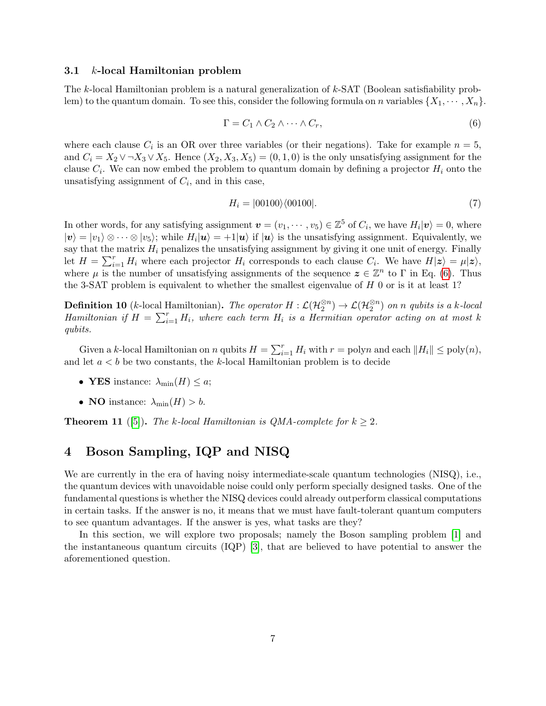## 3.1 k-local Hamiltonian problem

The k-local Hamiltonian problem is a natural generalization of k-SAT (Boolean satisfiability problem) to the quantum domain. To see this, consider the following formula on n variables  $\{X_1, \dots, X_n\}$ .

<span id="page-6-0"></span>
$$
\Gamma = C_1 \wedge C_2 \wedge \cdots \wedge C_r,\tag{6}
$$

where each clause  $C_i$  is an OR over three variables (or their negations). Take for example  $n = 5$ , and  $C_i = X_2 \vee \neg X_3 \vee X_5$ . Hence  $(X_2, X_3, X_5) = (0, 1, 0)$  is the only unsatisfying assignment for the clause  $C_i$ . We can now embed the problem to quantum domain by defining a projector  $H_i$  onto the unsatisfying assignment of  $C_i$ , and in this case,

$$
H_i = |00100\rangle\langle 00100|.\tag{7}
$$

In other words, for any satisfying assignment  $\mathbf{v} = (v_1, \dots, v_5) \in \mathbb{Z}^5$  of  $C_i$ , we have  $H_i |\mathbf{v}\rangle = 0$ , where  $|v\rangle = |v_1\rangle \otimes \cdots \otimes |v_5\rangle$ ; while  $H_i|u\rangle = +1|u\rangle$  if  $|u\rangle$  is the unsatisfying assignment. Equivalently, we say that the matrix  $H_i$  penalizes the unsatisfying assignment by giving it one unit of energy. Finally let  $H = \sum_{i=1}^{r} H_i$  where each projector  $H_i$  corresponds to each clause  $C_i$ . We have  $H|\mathbf{z}\rangle = \mu|\mathbf{z}\rangle$ , where  $\mu$  is the number of unsatisfying assignments of the sequence  $\mathbf{z} \in \mathbb{Z}^n$  to  $\Gamma$  in Eq. [\(6\)](#page-6-0). Thus the 3-SAT problem is equivalent to whether the smallest eigenvalue of  $H$  0 or is it at least 1?

**Definition 10** (k-local Hamiltonian). The operator  $H : \mathcal{L}(\mathcal{H}_2^{\otimes n}) \to \mathcal{L}(\mathcal{H}_2^{\otimes n})$  on n qubits is a k-local Hamiltonian if  $H = \sum_{i=1}^{r} H_i$ , where each term  $H_i$  is a Hermitian operator acting on at most k qubits.

Given a k-local Hamiltonian on n qubits  $H = \sum_{i=1}^{r} H_i$  with  $r = \text{poly} n$  and each  $||H_i|| \le \text{poly}(n)$ , and let  $a < b$  be two constants, the k-local Hamiltonian problem is to decide

- YES instance:  $\lambda_{\min}(H) \leq a$ ;
- NO instance:  $\lambda_{\min}(H) > b$ .

**Theorem 11** ([\[5\]](#page-8-2)). The k-local Hamiltonian is QMA-complete for  $k \geq 2$ .

# 4 Boson Sampling, IQP and NISQ

We are currently in the era of having noisy intermediate-scale quantum technologies (NISQ), i.e., the quantum devices with unavoidable noise could only perform specially designed tasks. One of the fundamental questions is whether the NISQ devices could already outperform classical computations in certain tasks. If the answer is no, it means that we must have fault-tolerant quantum computers to see quantum advantages. If the answer is yes, what tasks are they?

In this section, we will explore two proposals; namely the Boson sampling problem [\[1\]](#page-8-3) and the instantaneous quantum circuits (IQP) [\[3\]](#page-8-4), that are believed to have potential to answer the aforementioned question.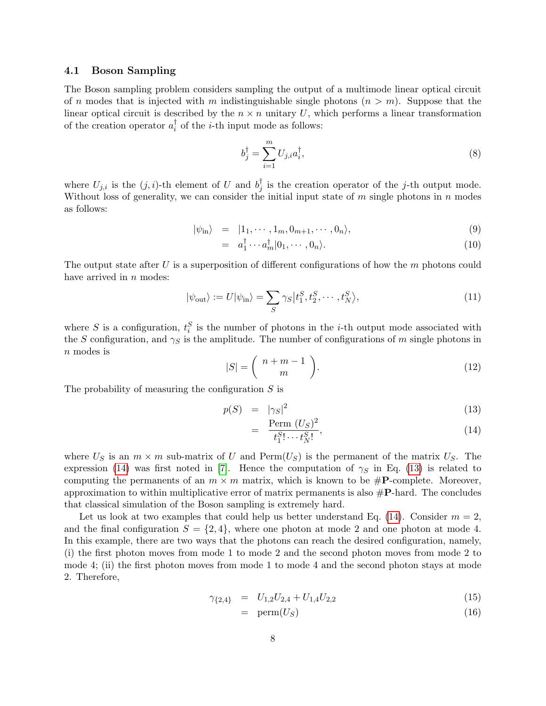## 4.1 Boson Sampling

The Boson sampling problem considers sampling the output of a multimode linear optical circuit of n modes that is injected with m indistinguishable single photons  $(n > m)$ . Suppose that the linear optical circuit is described by the  $n \times n$  unitary U, which performs a linear transformation of the creation operator  $a_i^{\dagger}$  $\overline{i}$  of the *i*-th input mode as follows:

$$
b_j^{\dagger} = \sum_{i=1}^{m} U_{j,i} a_i^{\dagger},\tag{8}
$$

where  $U_{j,i}$  is the  $(j,i)$ -th element of U and  $b_j^{\dagger}$  $j$  is the creation operator of the j-th output mode. Without loss of generality, we can consider the initial input state of  $m$  single photons in  $n$  modes as follows:

$$
|\psi_{\rm in}\rangle = |1_1, \cdots, 1_m, 0_{m+1}, \cdots, 0_n\rangle, \tag{9}
$$

$$
= a_1^{\dagger} \cdots a_m^{\dagger} |0_1, \cdots, 0_n\rangle. \tag{10}
$$

The output state after U is a superposition of different configurations of how the  $m$  photons could have arrived in  $n$  modes:

$$
|\psi_{\text{out}}\rangle := U|\psi_{\text{in}}\rangle = \sum_{S} \gamma_{S} |t_1^S, t_2^S, \cdots, t_N^S\rangle,
$$
\n(11)

where S is a configuration,  $t_i^S$  is the number of photons in the *i*-th output mode associated with the S configuration, and  $\gamma_S$  is the amplitude. The number of configurations of m single photons in n modes is

$$
|S| = \left(\begin{array}{c} n+m-1\\m \end{array}\right). \tag{12}
$$

The probability of measuring the configuration  $S$  is

<span id="page-7-0"></span>
$$
p(S) = |\gamma_S|^2 \tag{13}
$$

$$
= \frac{\text{Perm}(U_S)^2}{t_1^S!\cdots t_N^S!},\tag{14}
$$

where  $U_S$  is an  $m \times m$  sub-matrix of U and Perm $(U_S)$  is the permanent of the matrix  $U_S$ . The expression [\(14\)](#page-7-0) was first noted in [\[7\]](#page-9-3). Hence the computation of  $\gamma_S$  in Eq. [\(13\)](#page-7-0) is related to computing the permanents of an  $m \times m$  matrix, which is known to be  $\#P$ -complete. Moreover, approximation to within multiplicative error of matrix permanents is also  $\#P$ -hard. The concludes that classical simulation of the Boson sampling is extremely hard.

Let us look at two examples that could help us better understand Eq. [\(14\)](#page-7-0). Consider  $m = 2$ , and the final configuration  $S = \{2, 4\}$ , where one photon at mode 2 and one photon at mode 4. In this example, there are two ways that the photons can reach the desired configuration, namely, (i) the first photon moves from mode 1 to mode 2 and the second photon moves from mode 2 to mode 4; (ii) the first photon moves from mode 1 to mode 4 and the second photon stays at mode 2. Therefore,

$$
\gamma_{\{2,4\}} = U_{1,2}U_{2,4} + U_{1,4}U_{2,2} \tag{15}
$$

$$
= \ \mathrm{perm}(U_S) \tag{16}
$$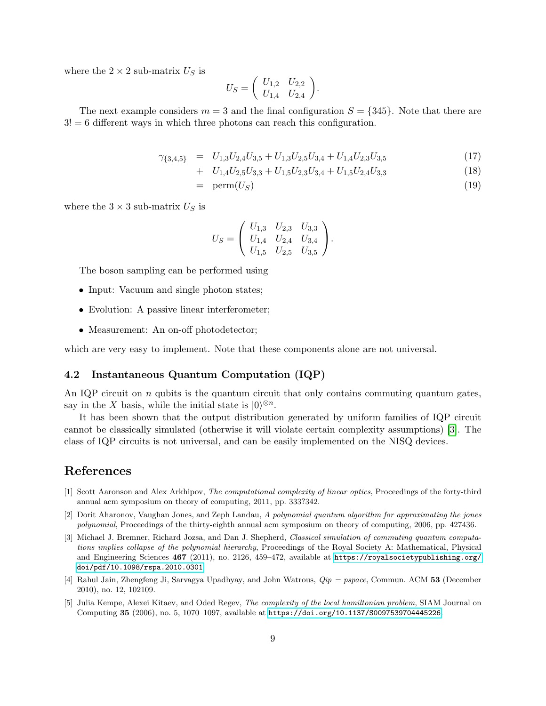where the  $2 \times 2$  sub-matrix  $U<sub>S</sub>$  is

$$
U_S = \left( \begin{array}{cc} U_{1,2} & U_{2,2} \\ U_{1,4} & U_{2,4} \end{array} \right).
$$

The next example considers  $m = 3$  and the final configuration  $S = \{345\}$ . Note that there are  $3! = 6$  different ways in which three photons can reach this configuration.

$$
\gamma_{\{3,4,5\}} = U_{1,3}U_{2,4}U_{3,5} + U_{1,3}U_{2,5}U_{3,4} + U_{1,4}U_{2,3}U_{3,5} \tag{17}
$$

+ 
$$
U_{1,4}U_{2,5}U_{3,3} + U_{1,5}U_{2,3}U_{3,4} + U_{1,5}U_{2,4}U_{3,3}
$$
 (18)

$$
= \ \mathrm{perm}(U_S) \tag{19}
$$

where the  $3 \times 3$  sub-matrix  $U<sub>S</sub>$  is

$$
U_S = \left(\begin{array}{ccc} U_{1,3} & U_{2,3} & U_{3,3} \\ U_{1,4} & U_{2,4} & U_{3,4} \\ U_{1,5} & U_{2,5} & U_{3,5} \end{array}\right).
$$

The boson sampling can be performed using

- Input: Vacuum and single photon states;
- Evolution: A passive linear interferometer;
- Measurement: An on-off photodetector;

which are very easy to implement. Note that these components alone are not universal.

# 4.2 Instantaneous Quantum Computation (IQP)

An IQP circuit on  $n$  qubits is the quantum circuit that only contains commuting quantum gates, say in the X basis, while the initial state is  $|0\rangle^{\otimes n}$ .

It has been shown that the output distribution generated by uniform families of IQP circuit cannot be classically simulated (otherwise it will violate certain complexity assumptions) [\[3\]](#page-8-4). The class of IQP circuits is not universal, and can be easily implemented on the NISQ devices.

# References

- <span id="page-8-3"></span>[1] Scott Aaronson and Alex Arkhipov, The computational complexity of linear optics, Proceedings of the forty-third annual acm symposium on theory of computing, 2011, pp. 333?342.
- <span id="page-8-1"></span>[2] Dorit Aharonov, Vaughan Jones, and Zeph Landau, A polynomial quantum algorithm for approximating the jones polynomial, Proceedings of the thirty-eighth annual acm symposium on theory of computing, 2006, pp. 427436.
- <span id="page-8-4"></span>[3] Michael J. Bremner, Richard Jozsa, and Dan J. Shepherd, Classical simulation of commuting quantum computations implies collapse of the polynomial hierarchy, Proceedings of the Royal Society A: Mathematical, Physical and Engineering Sciences 467 (2011), no. 2126, 459–472, available at [https://royalsocietypublishing.org/](https://royalsocietypublishing.org/doi/pdf/10.1098/rspa.2010.0301) [doi/pdf/10.1098/rspa.2010.0301](https://royalsocietypublishing.org/doi/pdf/10.1098/rspa.2010.0301).
- <span id="page-8-0"></span>[4] Rahul Jain, Zhengfeng Ji, Sarvagya Upadhyay, and John Watrous,  $Qip = pspace$ , Commun. ACM 53 (December 2010), no. 12, 102109.
- <span id="page-8-2"></span>[5] Julia Kempe, Alexei Kitaev, and Oded Regev, The complexity of the local hamiltonian problem, SIAM Journal on Computing 35 (2006), no. 5, 1070–1097, available at <https://doi.org/10.1137/S0097539704445226>.